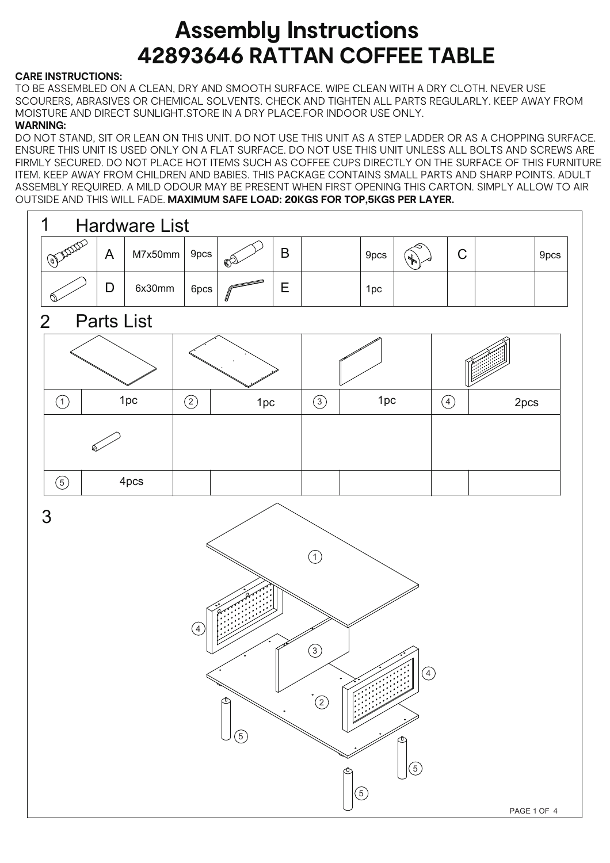## **Assembly Instructions 42893646 RATTAN COFFEE TABLE**

## **CARE INSTRUCTIONS:**

 TO BE ASSEMBLED ON A CLEAN, DRY AND SMOOTH SURFACE. WIPE CLEAN WITH A DRY CLOTH. NEVER USE SCOURERS, ABRASIVES OR CHEMICAL SOLVENTS. CHECK AND TIGHTEN ALL PARTS REGULARLY. KEEP AWAY FROM MOISTURE AND DIRECT SUNLIGHT.STORE IN A DRY PLACE.FOR INDOOR USE ONLY.

## **WARNING:**

DO NOT STAND, SIT OR LEAN ON THIS UNIT. DO NOT USE THIS UNIT AS A STEP LADDER OR AS A CHOPPING SURFACE. ENSURE THIS UNIT IS USED ONLY ON A FLAT SURFACE. DO NOT USE THIS UNIT UNLESS ALL BOLTS AND SCREWS ARE FIRMLY SECURED. DO NOT PLACE HOT ITEMS SUCH AS COFFEE CUPS DIRECTLY ON THE SURFACE OF THIS FURNITURE ITEM. KEEP AWAY FROM CHILDREN AND BABIES. THIS PACKAGE CONTAINS SMALL PARTS AND SHARP POINTS. ADULT ASSEMBLY REQUIRED. A MILD ODOUR MAY BE PRESENT WHEN FIRST OPENING THIS CARTON. SIMPLY ALLOW TO AIR OUTSIDE AND THIS WILL FADE. **MAXIMUM SAFE LOAD: 20KGS FOR TOP,5KGS PER LAYER.**

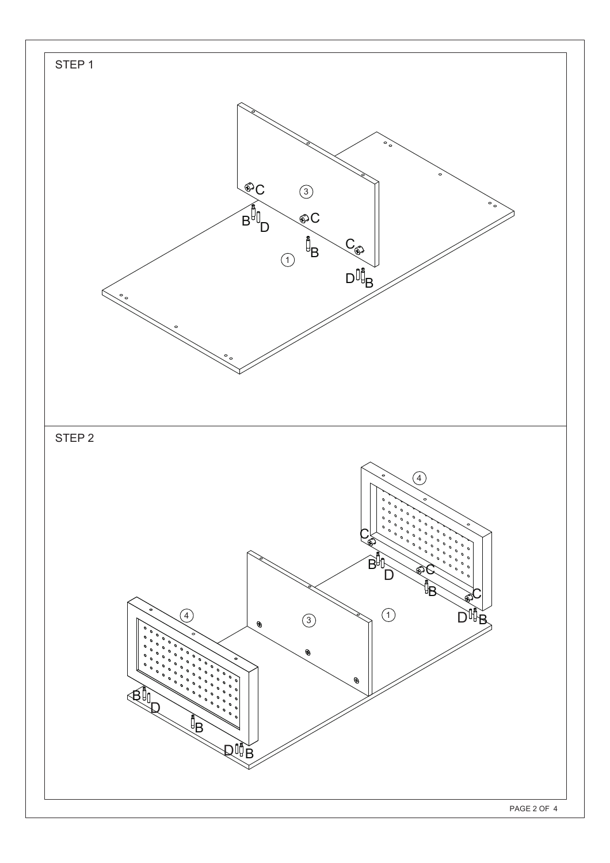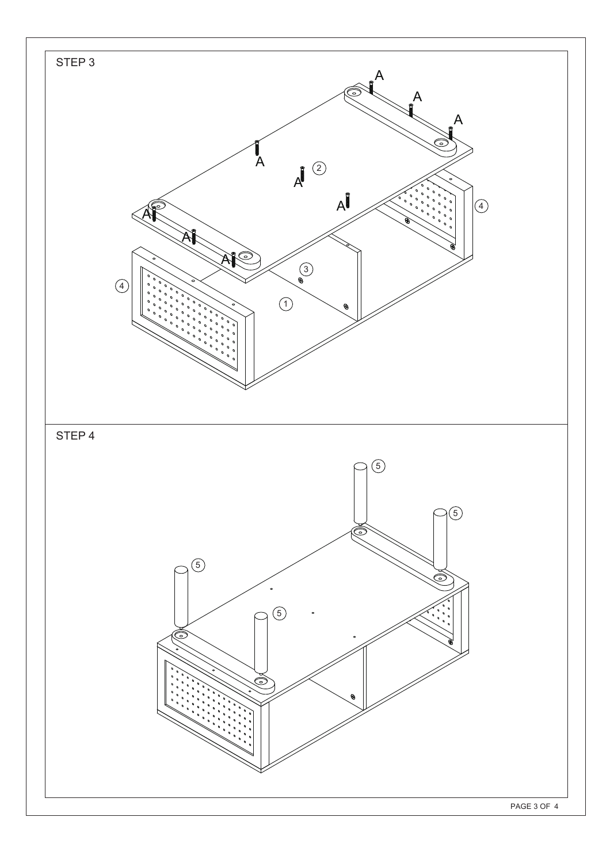